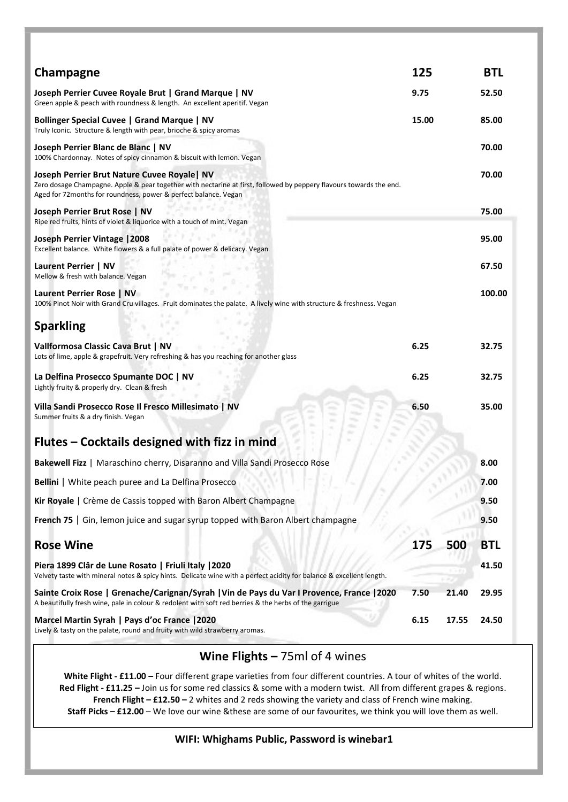| Champagne                                                                                                                                                                                                                             | 125   |                   | <b>BTL</b> |
|---------------------------------------------------------------------------------------------------------------------------------------------------------------------------------------------------------------------------------------|-------|-------------------|------------|
| Joseph Perrier Cuvee Royale Brut   Grand Marque   NV<br>Green apple & peach with roundness & length. An excellent aperitif. Vegan                                                                                                     | 9.75  |                   | 52.50      |
| Bollinger Special Cuvee   Grand Marque   NV<br>Truly Iconic. Structure & length with pear, brioche & spicy aromas                                                                                                                     | 15.00 |                   | 85.00      |
| Joseph Perrier Blanc de Blanc   NV<br>100% Chardonnay. Notes of spicy cinnamon & biscuit with lemon. Vegan                                                                                                                            |       |                   | 70.00      |
| Joseph Perrier Brut Nature Cuvee Royale NV<br>Zero dosage Champagne. Apple & pear together with nectarine at first, followed by peppery flavours towards the end.<br>Aged for 72 months for roundness, power & perfect balance. Vegan |       |                   | 70.00      |
| Joseph Perrier Brut Rose   NV<br>Ripe red fruits, hints of violet & liquorice with a touch of mint. Vegan                                                                                                                             |       |                   | 75.00      |
| Joseph Perrier Vintage   2008<br>Excellent balance. White flowers & a full palate of power & delicacy. Vegan                                                                                                                          |       |                   | 95.00      |
| Laurent Perrier   NV<br>Mellow & fresh with balance. Vegan                                                                                                                                                                            |       |                   | 67.50      |
| Laurent Perrier Rose   NV<br>100% Pinot Noir with Grand Cru villages. Fruit dominates the palate. A lively wine with structure & freshness. Vegan                                                                                     |       |                   | 100.00     |
| <b>Sparkling</b>                                                                                                                                                                                                                      |       |                   |            |
| Vallformosa Classic Cava Brut   NV<br>Lots of lime, apple & grapefruit. Very refreshing & has you reaching for another glass                                                                                                          | 6.25  |                   | 32.75      |
| La Delfina Prosecco Spumante DOC   NV<br>Lightly fruity & properly dry. Clean & fresh                                                                                                                                                 | 6.25  |                   | 32.75      |
| Villa Sandi Prosecco Rose Il Fresco Millesimato   NV<br>m<br>Summer fruits & a dry finish. Vegan<br>m                                                                                                                                 | 6.50  |                   | 35.00      |
| Flutes - Cocktails designed with fizz in mind                                                                                                                                                                                         |       |                   |            |
| <b>Bakewell Fizz</b>   Maraschino cherry, Disaranno and Villa Sandi Prosecco Rose                                                                                                                                                     |       |                   | 8.00       |
| Bellini   White peach puree and La Delfina Prosecco                                                                                                                                                                                   |       |                   | 7.00       |
| Kir Royale   Crème de Cassis topped with Baron Albert Champagne                                                                                                                                                                       |       |                   | 9.50       |
| French 75   Gin, lemon juice and sugar syrup topped with Baron Albert champagne                                                                                                                                                       |       |                   | 9.50       |
| <b>Rose Wine</b>                                                                                                                                                                                                                      | 175   | 500               | <b>BTL</b> |
| Piera 1899 Clâr de Lune Rosato   Friuli Italy   2020<br>Velvety taste with mineral notes & spicy hints. Delicate wine with a perfect acidity for balance & excellent length.                                                          |       | 1. p. (b)<br>a an | 41.50      |
| Sainte Croix Rose   Grenache/Carignan/Syrah   Vin de Pays du Var I Provence, France   2020<br>A beautifully fresh wine, pale in colour & redolent with soft red berries & the herbs of the garrigue                                   | 7.50  | 21.40             | 29.95      |
| Marcel Martin Syrah   Pays d'oc France   2020<br>Lively & tasty on the palate, round and fruity with wild strawberry aromas.                                                                                                          | 6.15  | 17.55             | 24.50      |

# Wine Flights - 75ml of 4 wines

White Flight - £11.00 - Four different grape varieties from four different countries. A tour of whites of the world. Red Flight - £11.25 - Join us for some red classics & some with a modern twist. All from different grapes & regions. French Flight – £12.50 – 2 whites and 2 reds showing the variety and class of French wine making. Staff Picks – £12.00 – We love our wine &these are some of our favourites, we think you will love them as well.

#### WIFI: Whighams Public, Password is winebar1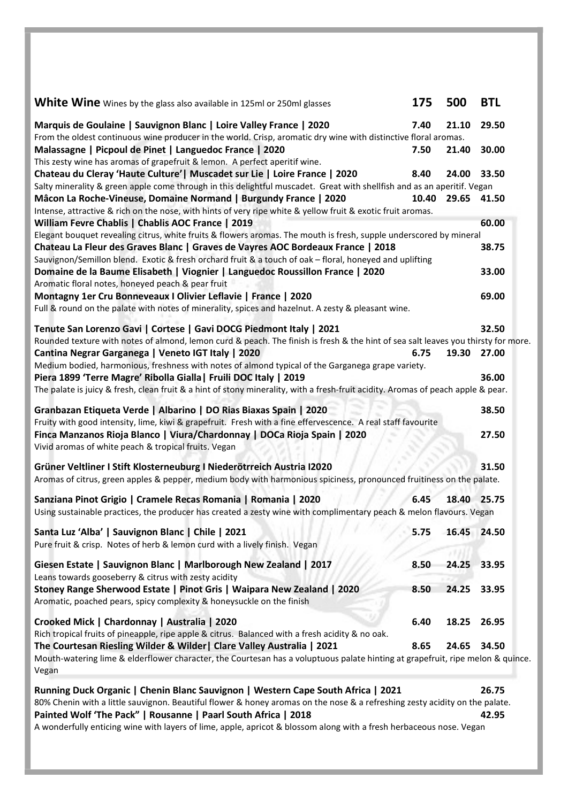| White Wine Wines by the glass also available in 125ml or 250ml glasses                                                                                                                                                                                                                                           | 175   | 500         | <b>BTL</b> |
|------------------------------------------------------------------------------------------------------------------------------------------------------------------------------------------------------------------------------------------------------------------------------------------------------------------|-------|-------------|------------|
| Marquis de Goulaine   Sauvignon Blanc   Loire Valley France   2020<br>From the oldest continuous wine producer in the world. Crisp, aromatic dry wine with distinctive floral aromas.                                                                                                                            | 7.40  | 21.10       | 29.50      |
| Malassagne   Picpoul de Pinet   Languedoc France   2020<br>This zesty wine has aromas of grapefruit & lemon. A perfect aperitif wine.                                                                                                                                                                            | 7.50  | 21.40       | 30.00      |
| Chateau du Cleray 'Haute Culture'   Muscadet sur Lie   Loire France   2020<br>Salty minerality & green apple come through in this delightful muscadet. Great with shellfish and as an aperitif. Vegan                                                                                                            | 8.40  | 24.00       | 33.50      |
| Mâcon La Roche-Vineuse, Domaine Normand   Burgundy France   2020<br>Intense, attractive & rich on the nose, with hints of very ripe white & yellow fruit & exotic fruit aromas.                                                                                                                                  | 10.40 | 29.65       | 41.50      |
| William Fevre Chablis   Chablis AOC France   2019                                                                                                                                                                                                                                                                |       |             | 60.00      |
| Elegant bouquet revealing citrus, white fruits & flowers aromas. The mouth is fresh, supple underscored by mineral<br>Chateau La Fleur des Graves Blanc   Graves de Vayres AOC Bordeaux France   2018<br>Sauvignon/Semillon blend. Exotic & fresh orchard fruit & a touch of oak - floral, honeyed and uplifting |       |             | 38.75      |
| Domaine de la Baume Elisabeth   Viognier   Languedoc Roussillon France   2020<br>Aromatic floral notes, honeyed peach & pear fruit                                                                                                                                                                               |       |             | 33.00      |
| Montagny 1er Cru Bonneveaux I Olivier Leflavie   France   2020                                                                                                                                                                                                                                                   |       |             | 69.00      |
| Full & round on the palate with notes of minerality, spices and hazelnut. A zesty & pleasant wine.                                                                                                                                                                                                               |       |             |            |
| Tenute San Lorenzo Gavi   Cortese   Gavi DOCG Piedmont Italy   2021                                                                                                                                                                                                                                              |       |             | 32.50      |
| Rounded texture with notes of almond, lemon curd & peach. The finish is fresh & the hint of sea salt leaves you thirsty for more.                                                                                                                                                                                |       |             |            |
| Cantina Negrar Garganega   Veneto IGT Italy   2020<br>Medium bodied, harmonious, freshness with notes of almond typical of the Garganega grape variety.                                                                                                                                                          | 6.75  | 19.30       | 27.00      |
| Piera 1899 'Terre Magre' Ribolla Gialla   Fruili DOC Italy   2019                                                                                                                                                                                                                                                |       |             | 36.00      |
| The palate is juicy & fresh, clean fruit & a hint of stony minerality, with a fresh-fruit acidity. Aromas of peach apple & pear.                                                                                                                                                                                 |       |             |            |
| Granbazan Etiqueta Verde   Albarino   DO Rias Biaxas Spain   2020                                                                                                                                                                                                                                                |       |             | 38.50      |
| Fruity with good intensity, lime, kiwi & grapefruit. Fresh with a fine effervescence. A real staff favourite<br>Finca Manzanos Rioja Blanco   Viura/Chardonnay   DOCa Rioja Spain   2020<br>Vivid aromas of white peach & tropical fruits. Vegan                                                                 |       |             | 27.50      |
| Grüner Veltliner I Stift Klosterneuburg I Niederötrreich Austria I2020<br>Aromas of citrus, green apples & pepper, medium body with harmonious spiciness, pronounced fruitiness on the palate.                                                                                                                   |       |             | 31.50      |
| Sanziana Pinot Grigio   Cramele Recas Romania   Romania   2020<br>Using sustainable practices, the producer has created a zesty wine with complimentary peach & melon flavours. Vegan                                                                                                                            | 6.45  | 18.40       | 25.75      |
| Santa Luz 'Alba'   Sauvignon Blanc   Chile   2021<br>Pure fruit & crisp. Notes of herb & lemon curd with a lively finish. Vegan                                                                                                                                                                                  | 5.75  | 16.45 24.50 |            |
| Giesen Estate   Sauvignon Blanc   Marlborough New Zealand   2017<br>Leans towards gooseberry & citrus with zesty acidity                                                                                                                                                                                         | 8.50  | 24.25       | 33.95      |
| Stoney Range Sherwood Estate   Pinot Gris   Waipara New Zealand   2020<br>Aromatic, poached pears, spicy complexity & honeysuckle on the finish                                                                                                                                                                  | 8.50  | 24.25       | 33.95      |
| Crooked Mick   Chardonnay   Australia   2020<br>Rich tropical fruits of pineapple, ripe apple & citrus. Balanced with a fresh acidity & no oak.                                                                                                                                                                  | 6.40  | 18.25       | 26.95      |
| The Courtesan Riesling Wilder & Wilder   Clare Valley Australia   2021<br>Mouth-watering lime & elderflower character, the Courtesan has a voluptuous palate hinting at grapefruit, ripe melon & quince.<br>Vegan                                                                                                | 8.65  | 24.65       | 34.50      |
| Running Duck Organic   Chenin Blanc Sauvignon   Western Cape South Africa   2021                                                                                                                                                                                                                                 |       |             | 26.75      |
| 80% Chenin with a little sauvignon. Beautiful flower & honey aromas on the nose & a refreshing zesty acidity on the palate.<br>Painted Wolf 'The Pack"   Rousanne   Paarl South Africa   2018                                                                                                                    |       |             | 42.95      |
| A wonderfully enticing wine with layers of lime, apple, apricot & blossom along with a fresh herbaceous nose. Vegan                                                                                                                                                                                              |       |             |            |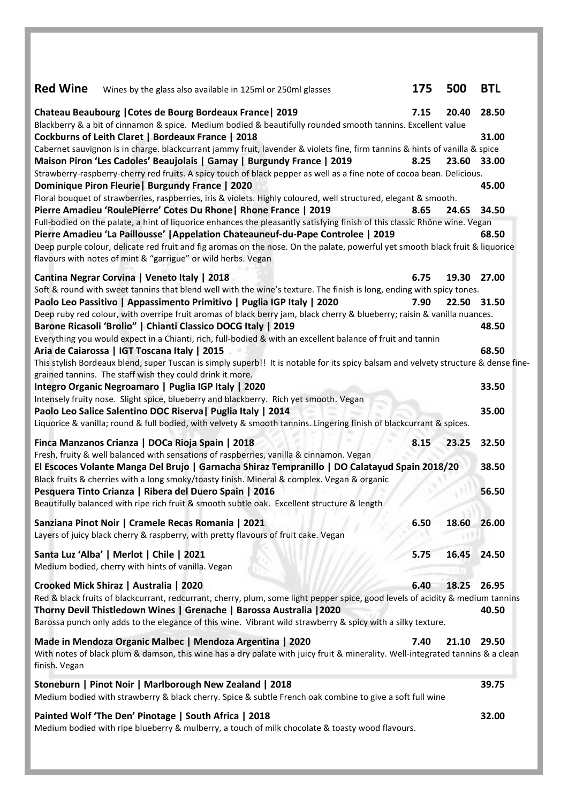| <b>Red Wine</b> | Wines by the glass also available in 125ml or 250ml glasses                                                                                                                                                                                                                                                                                                                                                                                                                                                                                                                                                                                                                                                                               | 175          | 500            | <b>BTL</b>                       |
|-----------------|-------------------------------------------------------------------------------------------------------------------------------------------------------------------------------------------------------------------------------------------------------------------------------------------------------------------------------------------------------------------------------------------------------------------------------------------------------------------------------------------------------------------------------------------------------------------------------------------------------------------------------------------------------------------------------------------------------------------------------------------|--------------|----------------|----------------------------------|
|                 | Chateau Beaubourg   Cotes de Bourg Bordeaux France   2019<br>Blackberry & a bit of cinnamon & spice. Medium bodied & beautifully rounded smooth tannins. Excellent value<br>Cockburns of Leith Claret   Bordeaux France   2018<br>Cabernet sauvignon is in charge. blackcurrant jammy fruit, lavender & violets fine, firm tannins & hints of vanilla & spice<br>Maison Piron 'Les Cadoles' Beaujolais   Gamay   Burgundy France   2019<br>Strawberry-raspberry-cherry red fruits. A spicy touch of black pepper as well as a fine note of cocoa bean. Delicious.<br>Dominique Piron Fleurie   Burgundy France   2020<br>Floral bouquet of strawberries, raspberries, iris & violets. Highly coloured, well structured, elegant & smooth. | 7.15<br>8.25 | 20.40<br>23.60 | 28.50<br>31.00<br>33.00<br>45.00 |
|                 | Pierre Amadieu 'RoulePierre' Cotes Du Rhone   Rhone France   2019<br>Full-bodied on the palate, a hint of liquorice enhances the pleasantly satisfying finish of this classic Rhône wine. Vegan<br>Pierre Amadieu 'La Paillousse'   Appelation Chateauneuf-du-Pape Controlee   2019<br>Deep purple colour, delicate red fruit and fig aromas on the nose. On the palate, powerful yet smooth black fruit & liquorice<br>flavours with notes of mint & "garrigue" or wild herbs. Vegan                                                                                                                                                                                                                                                     | 8.65         | 24.65          | 34.50<br>68.50                   |
|                 | Cantina Negrar Corvina   Veneto Italy   2018<br>Soft & round with sweet tannins that blend well with the wine's texture. The finish is long, ending with spicy tones.<br>Paolo Leo Passitivo   Appassimento Primitivo   Puglia IGP Italy   2020<br>Deep ruby red colour, with overripe fruit aromas of black berry jam, black cherry & blueberry; raisin & vanilla nuances.                                                                                                                                                                                                                                                                                                                                                               | 6.75<br>7.90 | 19.30<br>22.50 | 27.00<br>31.50                   |
|                 | Barone Ricasoli 'Brolio"   Chianti Classico DOCG Italy   2019<br>Everything you would expect in a Chianti, rich, full-bodied & with an excellent balance of fruit and tannin<br>Aria de Caiarossa   IGT Toscana Italy   2015<br>This stylish Bordeaux blend, super Tuscan is simply superb!! It is notable for its spicy balsam and velvety structure & dense fine-                                                                                                                                                                                                                                                                                                                                                                       |              |                | 48.50<br>68.50                   |
|                 | grained tannins. The staff wish they could drink it more.<br>Integro Organic Negroamaro   Puglia IGP Italy   2020<br>Intensely fruity nose. Slight spice, blueberry and blackberry. Rich yet smooth. Vegan<br>Paolo Leo Salice Salentino DOC Riserva   Puglia Italy   2014<br>Liquorice & vanilla; round & full bodied, with velvety & smooth tannins. Lingering finish of blackcurrant & spices.                                                                                                                                                                                                                                                                                                                                         |              |                | 33.50<br>35.00                   |
|                 | Finca Manzanos Crianza   DOCa Rioja Spain   2018<br>Fresh, fruity & well balanced with sensations of raspberries, vanilla & cinnamon. Vegan<br>El Escoces Volante Manga Del Brujo   Garnacha Shiraz Tempranillo   DO Calatayud Spain 2018/20<br>Black fruits & cherries with a long smoky/toasty finish. Mineral & complex. Vegan & organic<br>Pesquera Tinto Crianza   Ribera del Duero Spain   2016<br>Beautifully balanced with ripe rich fruit & smooth subtle oak. Excellent structure & length                                                                                                                                                                                                                                      | 8.15         | 23.25          | 32.50<br>38.50<br>56.50          |
|                 | Sanziana Pinot Noir   Cramele Recas Romania   2021<br>Layers of juicy black cherry & raspberry, with pretty flavours of fruit cake. Vegan                                                                                                                                                                                                                                                                                                                                                                                                                                                                                                                                                                                                 | 6.50         | 18.60          | 26.00                            |
|                 | Santa Luz 'Alba'   Merlot   Chile   2021<br>Medium bodied, cherry with hints of vanilla. Vegan                                                                                                                                                                                                                                                                                                                                                                                                                                                                                                                                                                                                                                            | 5.75         | 16.45          | 24.50                            |
|                 | Crooked Mick Shiraz   Australia   2020<br>Red & black fruits of blackcurrant, redcurrant, cherry, plum, some light pepper spice, good levels of acidity & medium tannins<br>Thorny Devil Thistledown Wines   Grenache   Barossa Australia   2020<br>Barossa punch only adds to the elegance of this wine. Vibrant wild strawberry & spicy with a silky texture.                                                                                                                                                                                                                                                                                                                                                                           | 6.40         | 18.25          | 26.95<br>40.50                   |
| finish. Vegan   | Made in Mendoza Organic Malbec   Mendoza Argentina   2020<br>With notes of black plum & damson, this wine has a dry palate with juicy fruit & minerality. Well-integrated tannins & a clean                                                                                                                                                                                                                                                                                                                                                                                                                                                                                                                                               | 7.40         | 21.10          | 29.50                            |
|                 | Stoneburn   Pinot Noir   Marlborough New Zealand   2018<br>Medium bodied with strawberry & black cherry. Spice & subtle French oak combine to give a soft full wine                                                                                                                                                                                                                                                                                                                                                                                                                                                                                                                                                                       |              |                | 39.75                            |
|                 | Painted Wolf 'The Den' Pinotage   South Africa   2018<br>Medium bodied with ripe blueberry & mulberry, a touch of milk chocolate & toasty wood flavours.                                                                                                                                                                                                                                                                                                                                                                                                                                                                                                                                                                                  |              |                | 32.00                            |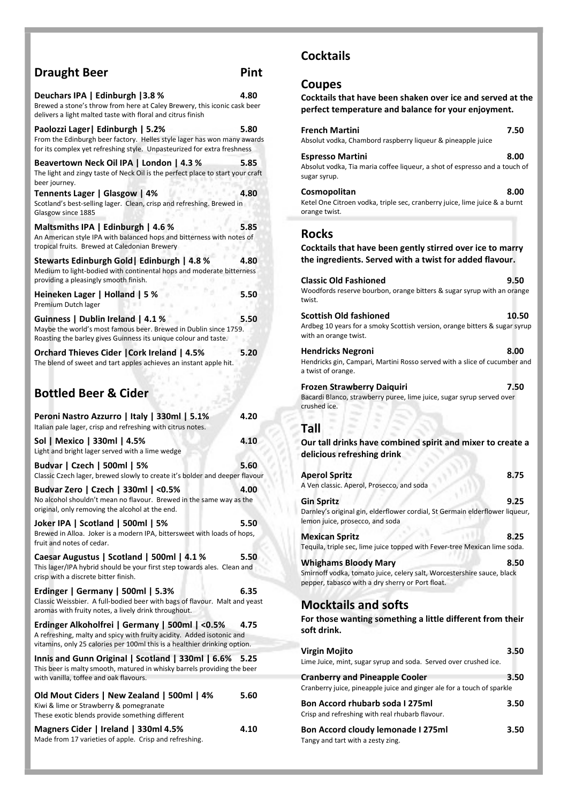| <b>Draught Beer</b>                                                                                                                                                                                  | Pint |
|------------------------------------------------------------------------------------------------------------------------------------------------------------------------------------------------------|------|
| Deuchars IPA   Edinburgh   3.8 %<br>Brewed a stone's throw from here at Caley Brewery, this iconic cask beer<br>delivers a light malted taste with floral and citrus finish                          | 4.80 |
| Paolozzi Lager   Edinburgh   5.2%<br>From the Edinburgh beer factory. Helles style lager has won many awards<br>for its complex yet refreshing style. Unpasteurized for extra freshness              | 5.80 |
| Beavertown Neck Oil IPA   London   4.3 %<br>The light and zingy taste of Neck Oil is the perfect place to start your craft<br>beer journey.                                                          | 5.85 |
| Tennents Lager   Glasgow   4%<br>Scotland's best-selling lager. Clean, crisp and refreshing. Brewed in<br>Glasgow since 1885                                                                         | 4.80 |
| Maltsmiths IPA   Edinburgh   4.6 %<br>An American style IPA with balanced hops and bitterness with notes of<br>tropical fruits. Brewed at Caledonian Brewery                                         | 5.85 |
| Stewarts Edinburgh Gold   Edinburgh   4.8 %<br>Medium to light-bodied with continental hops and moderate bitterness<br>providing a pleasingly smooth finish.                                         | 4.80 |
| Heineken Lager   Holland   5 %<br>Premium Dutch lager                                                                                                                                                | 5.50 |
| Guinness   Dublin Ireland   4.1 %<br>Maybe the world's most famous beer. Brewed in Dublin since 1759.<br>Roasting the barley gives Guinness its unique colour and taste.                             | 5.50 |
| Orchard Thieves Cider   Cork Ireland   4.5%<br>The blend of sweet and tart apples achieves an instant apple hit.<br><b>Bottled Beer &amp; Cider</b>                                                  | 5.20 |
| Peroni Nastro Azzurro   Italy   330ml   5.1%<br>Italian pale lager, crisp and refreshing with citrus notes.                                                                                          | 4.20 |
| Sol   Mexico   330ml   4.5%<br>Light and bright lager served with a lime wedge                                                                                                                       | 4.10 |
| Budvar   Czech   500ml   5%<br>Classic Czech lager, brewed slowly to create it's bolder and deeper flavour                                                                                           | 5.60 |
| Budvar Zero   Czech   330ml   <0.5%<br>No alcohol shouldn't mean no flavour. Brewed in the same way as the<br>original, only removing the alcohol at the end.                                        | 4.00 |
| Joker IPA   Scotland   500ml   5%<br>Brewed in Alloa. Joker is a modern IPA, bittersweet with loads of hops,<br>fruit and notes of cedar.                                                            | 5.50 |
| Caesar Augustus   Scotland   500ml   4.1 %<br>This lager/IPA hybrid should be your first step towards ales. Clean and<br>crisp with a discrete bitter finish.                                        | 5.50 |
| Erdinger   Germany   500ml   5.3%<br>Classic Weissbier. A full-bodied beer with bags of flavour. Malt and yeast<br>aromas with fruity notes, a lively drink throughout.                              | 6.35 |
| Erdinger Alkoholfrei   Germany   500ml   <0.5%<br>A refreshing, malty and spicy with fruity acidity. Added isotonic and<br>vitamins, only 25 calories per 100ml this is a healthier drinking option. | 4.75 |
| Innis and Gunn Original   Scotland   330ml   6.6%<br>This beer is malty smooth, matured in whisky barrels providing the beer<br>with vanilla, toffee and oak flavours.                               | 5.25 |

| Old Mout Ciders   New Zealand   500ml   4%      | 5.60  |  |
|-------------------------------------------------|-------|--|
| Kiwi & lime or Strawberry & pomegranate         |       |  |
| These exotic blends provide something different |       |  |
| Magners Cider   Ireland   330ml 4.5%            | 4.10. |  |

Magners Cider | Ireland | 330ml 4.5% 4.10 Made from 17 varieties of apple. Crisp and refreshing.

## **Cocktails**

#### Coupes

Cocktails that have been shaken over ice and served at the perfect temperature and balance for your enjoyment.

| <b>French Martini</b><br>Absolut vodka, Chambord raspberry liqueur & pineapple juice                                                                      | 7.50  |
|-----------------------------------------------------------------------------------------------------------------------------------------------------------|-------|
| <b>Espresso Martini</b><br>Absolut vodka, Tia maria coffee liqueur, a shot of espresso and a touch of<br>sugar syrup.                                     | 8.00  |
| Cosmopolitan<br>Ketel One Citroen vodka, triple sec, cranberry juice, lime juice & a burnt<br>orange twist.                                               | 8.00  |
| <b>Rocks</b><br>Cocktails that have been gently stirred over ice to marry<br>the ingredients. Served with a twist for added flavour.                      |       |
| <b>Classic Old Fashioned</b><br>Woodfords reserve bourbon, orange bitters & sugar syrup with an orange<br>twist.                                          | 9.50  |
| <b>Scottish Old fashioned</b><br>Ardbeg 10 years for a smoky Scottish version, orange bitters & sugar syrup<br>with an orange twist.                      | 10.50 |
| <b>Hendricks Negroni</b><br>Hendricks gin, Campari, Martini Rosso served with a slice of cucumber and<br>a twist of orange.                               | 8.00  |
| Frozen Strawberry Daiquiri<br>Bacardi Blanco, strawberry puree, lime juice, sugar syrup served over<br>crushed ice.                                       | 7.50  |
| Tall<br>Our tall drinks have combined spirit and mixer to create a<br>delicious refreshing drink                                                          |       |
| <b>Aperol Spritz</b><br>A Ven classic. Aperol, Prosecco, and soda                                                                                         | 8.75  |
| <b>Gin Spritz</b><br>Darnley's original gin, elderflower cordial, St Germain elderflower liqueur,<br>lemon juice, prosecco, and soda                      | 9.25  |
| <b>Mexican Spritz</b><br>Tequila, triple sec, lime juice topped with Fever-tree Mexican lime soda.                                                        | 8.25  |
| <b>Whighams Bloody Mary</b><br>Smirnoff vodka, tomato juice, celery salt, Worcestershire sauce, black<br>pepper, tabasco with a dry sherry or Port float. | 8.50  |
| <b>Mocktails and softs</b><br>For those wanting something a little different from their<br>soft drink.                                                    |       |
| <b>Virgin Mojito</b><br>Lime Juice, mint, sugar syrup and soda. Served over crushed ice.                                                                  | 3.50  |
| <b>Cranberry and Pineapple Cooler</b><br>Cranberry juice, pineapple juice and ginger ale for a touch of sparkle                                           | 3.50  |
| <b>Bon Accord rhubarb soda I 275ml</b><br>Crisp and refreshing with real rhubarb flavour.                                                                 | 3.50  |

Bon Accord cloudy lemonade I 275ml 3.50

Tangy and tart with a zesty zing.